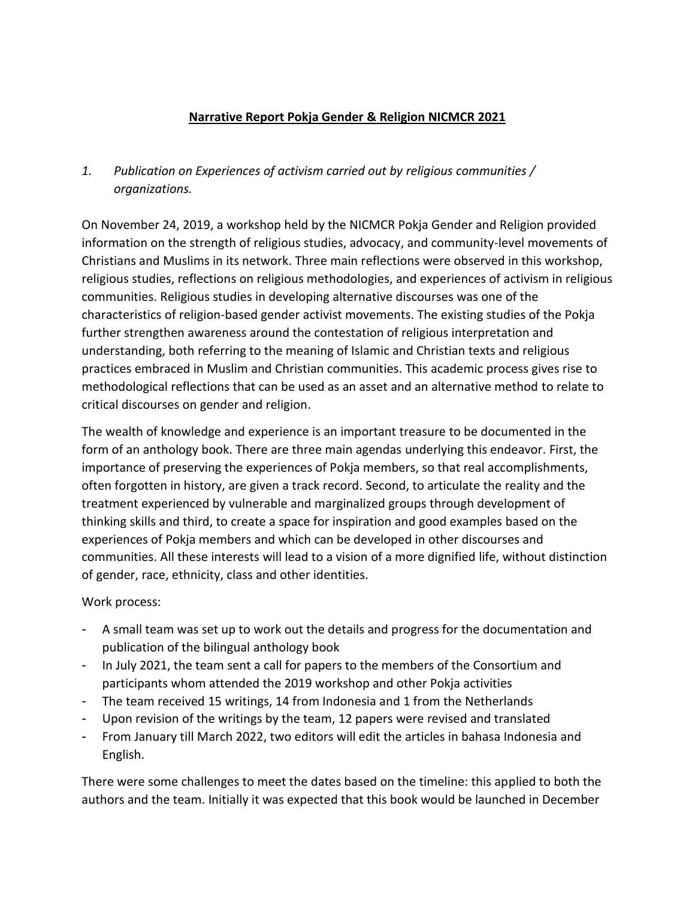## **Narrative Report Pokja Gender & Religion NICMCR 2021**

# *1. Publication on Experiences of activism carried out by religious communities / organizations.*

On November 24, 2019, a workshop held by the NICMCR Pokja Gender and Religion provided information on the strength of religious studies, advocacy, and community-level movements of Christians and Muslims in its network. Three main reflections were observed in this workshop, religious studies, reflections on religious methodologies, and experiences of activism in religious communities. Religious studies in developing alternative discourses was one of the characteristics of religion-based gender activist movements. The existing studies of the Pokja further strengthen awareness around the contestation of religious interpretation and understanding, both referring to the meaning of Islamic and Christian texts and religious practices embraced in Muslim and Christian communities. This academic process gives rise to methodological reflections that can be used as an asset and an alternative method to relate to critical discourses on gender and religion.

The wealth of knowledge and experience is an important treasure to be documented in the form of an anthology book. There are three main agendas underlying this endeavor. First, the importance of preserving the experiences of Pokja members, so that real accomplishments, often forgotten in history, are given a track record. Second, to articulate the reality and the treatment experienced by vulnerable and marginalized groups through development of thinking skills and third, to create a space for inspiration and good examples based on the experiences of Pokja members and which can be developed in other discourses and communities. All these interests will lead to a vision of a more dignified life, without distinction of gender, race, ethnicity, class and other identities.

## Work process:

- A small team was set up to work out the details and progress for the documentation and publication of the bilingual anthology book
- In July 2021, the team sent a call for papers to the members of the Consortium and participants whom attended the 2019 workshop and other Pokja activities
- The team received 15 writings, 14 from Indonesia and 1 from the Netherlands
- Upon revision of the writings by the team, 12 papers were revised and translated
- From January till March 2022, two editors will edit the articles in bahasa Indonesia and English.

There were some challenges to meet the dates based on the timeline: this applied to both the authors and the team. Initially it was expected that this book would be launched in December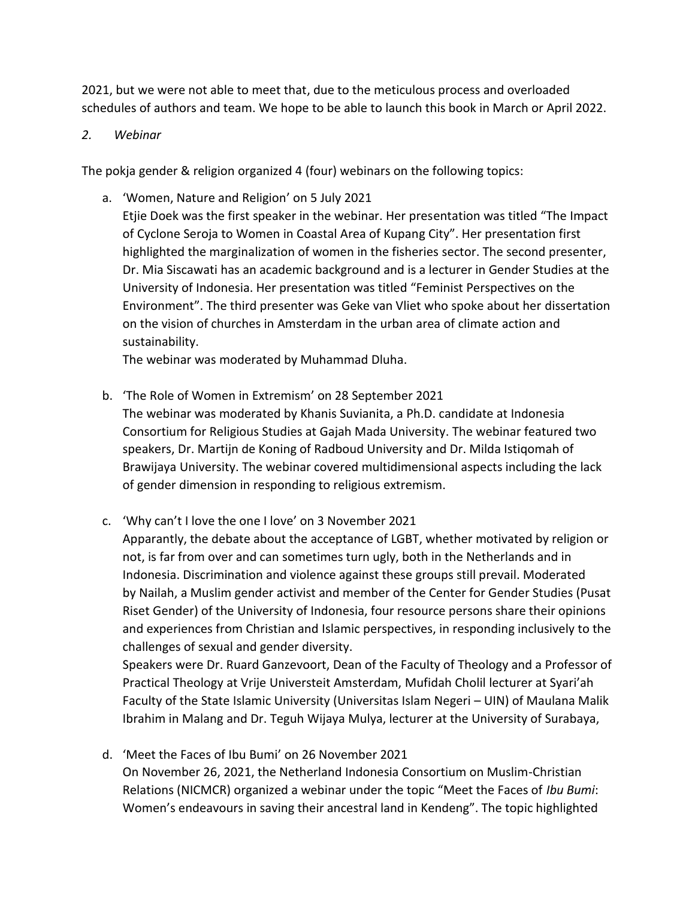2021, but we were not able to meet that, due to the meticulous process and overloaded schedules of authors and team. We hope to be able to launch this book in March or April 2022.

#### *2. Webinar*

The pokja gender & religion organized 4 (four) webinars on the following topics:

a. 'Women, Nature and Religion' on 5 July 2021

Etjie Doek was the first speaker in the webinar. Her presentation was titled "The Impact of Cyclone Seroja to Women in Coastal Area of Kupang City". Her presentation first highlighted the marginalization of women in the fisheries sector. The second presenter, Dr. Mia Siscawati has an academic background and is a lecturer in Gender Studies at the University of Indonesia. Her presentation was titled "Feminist Perspectives on the Environment". The third presenter was Geke van Vliet who spoke about her dissertation on the vision of churches in Amsterdam in the urban area of climate action and sustainability.

The webinar was moderated by Muhammad Dluha.

- b. 'The Role of Women in Extremism' on 28 September 2021 The webinar was moderated by Khanis Suvianita, a Ph.D. candidate at Indonesia Consortium for Religious Studies at Gajah Mada University. The webinar featured two speakers, Dr. Martijn de Koning of Radboud University and Dr. Milda Istiqomah of Brawijaya University. The webinar covered multidimensional aspects including the lack of gender dimension in responding to religious extremism.
- c. 'Why can't I love the one I love' on 3 November 2021 Apparantly, the debate about the acceptance of LGBT, whether motivated by religion or

not, is far from over and can sometimes turn ugly, both in the Netherlands and in Indonesia. Discrimination and violence against these groups still prevail. Moderated by Nailah, a Muslim gender activist and member of the Center for Gender Studies (Pusat Riset Gender) of the University of Indonesia, four resource persons share their opinions and experiences from Christian and Islamic perspectives, in responding inclusively to the challenges of sexual and gender diversity.

Speakers were Dr. Ruard Ganzevoort, Dean of the Faculty of Theology and a Professor of Practical Theology at Vrije Universteit Amsterdam, Mufidah Cholil lecturer at Syari'ah Faculty of the State Islamic University (Universitas Islam Negeri – UIN) of Maulana Malik Ibrahim in Malang and Dr. Teguh Wijaya Mulya, lecturer at the University of Surabaya,

d. 'Meet the Faces of Ibu Bumi' on 26 November 2021 On November 26, 2021, the Netherland Indonesia Consortium on Muslim-Christian Relations (NICMCR) organized a webinar under the topic "Meet the Faces of *Ibu Bumi*: Women's endeavours in saving their ancestral land in Kendeng". The topic highlighted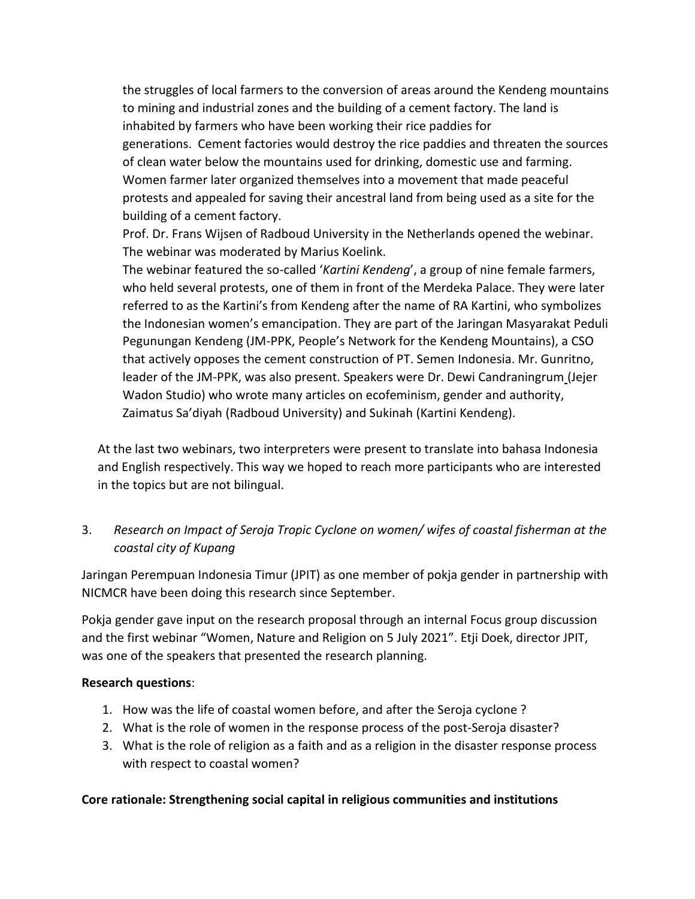the struggles of local farmers to the conversion of areas around the Kendeng mountains to mining and industrial zones and the building of a cement factory. The land is inhabited by farmers who have been working their rice paddies for generations. Cement factories would destroy the rice paddies and threaten the sources of clean water below the mountains used for drinking, domestic use and farming. Women farmer later organized themselves into a movement that made peaceful protests and appealed for saving their ancestral land from being used as a site for the building of a cement factory.

Prof. Dr. Frans Wijsen of Radboud University in the Netherlands opened the webinar. The webinar was moderated by Marius Koelink.

The webinar featured the so-called '*Kartini Kendeng*', a group of nine female farmers, who held several protests, one of them in front of the Merdeka Palace. They were later referred to as the Kartini's from Kendeng after the name of RA Kartini, who symbolizes the Indonesian women's emancipation. They are part of the Jaringan Masyarakat Peduli Pegunungan Kendeng (JM-PPK, People's Network for the Kendeng Mountains), a CSO that actively opposes the cement construction of PT. Semen Indonesia. Mr. Gunritno, leader of the JM-PPK, was also present. Speakers were Dr. Dewi Candraningrum (Jejer Wadon Studio) who wrote many articles on ecofeminism, gender and authority, Zaimatus Sa'diyah (Radboud University) and Sukinah (Kartini Kendeng).

At the last two webinars, two interpreters were present to translate into bahasa Indonesia and English respectively. This way we hoped to reach more participants who are interested in the topics but are not bilingual.

# 3. *Research on Impact of Seroja Tropic Cyclone on women/ wifes of coastal fisherman at the coastal city of Kupang*

Jaringan Perempuan Indonesia Timur (JPIT) as one member of pokja gender in partnership with NICMCR have been doing this research since September.

Pokja gender gave input on the research proposal through an internal Focus group discussion and the first webinar "Women, Nature and Religion on 5 July 2021". Etji Doek, director JPIT, was one of the speakers that presented the research planning.

## **Research questions**:

- 1. How was the life of coastal women before, and after the Seroja cyclone ?
- 2. What is the role of women in the response process of the post-Seroja disaster?
- 3. What is the role of religion as a faith and as a religion in the disaster response process with respect to coastal women?

## **Core rationale: Strengthening social capital in religious communities and institutions**